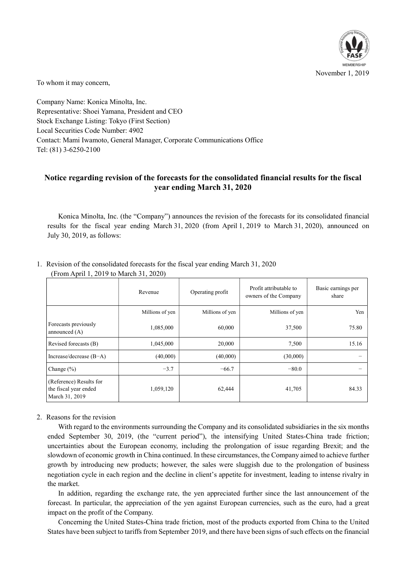

To whom it may concern,

Company Name: Konica Minolta, Inc. Representative: Shoei Yamana, President and CEO Stock Exchange Listing: Tokyo (First Section) Local Securities Code Number: 4902 Contact: Mami Iwamoto, General Manager, Corporate Communications Office Tel: (81) 3-6250-2100

## Notice regarding revision of the forecasts for the consolidated financial results for the fiscal year ending March 31, 2020

Konica Minolta, Inc. (the "Company") announces the revision of the forecasts for its consolidated financial results for the fiscal year ending March 31, 2020 (from April 1, 2019 to March 31, 2020), announced on July 30, 2019, as follows:

|                                                                    | Revenue         | Operating profit | Profit attributable to<br>owners of the Company | Basic earnings per<br>share |
|--------------------------------------------------------------------|-----------------|------------------|-------------------------------------------------|-----------------------------|
|                                                                    | Millions of yen | Millions of yen  | Millions of yen                                 | Yen                         |
| Forecasts previously<br>announced $(A)$                            | 1,085,000       | 60,000           | 37,500                                          | 75.80                       |
| Revised forecasts (B)                                              | 1,045,000       | 20,000           | 7,500                                           | 15.16                       |
| Increase/decrease $(B-A)$                                          | (40,000)        | (40,000)         | (30,000)                                        |                             |
| Change $(\% )$                                                     | $-3.7$          | $-66.7$          | $-80.0$                                         |                             |
| (Reference) Results for<br>the fiscal year ended<br>March 31, 2019 | 1,059,120       | 62,444           | 41,705                                          | 84.33                       |

1. Revision of the consolidated forecasts for the fiscal year ending March 31, 2020 (From April 1, 2019 to March 31, 2020)

## 2. Reasons for the revision

With regard to the environments surrounding the Company and its consolidated subsidiaries in the six months ended September 30, 2019, (the "current period"), the intensifying United States-China trade friction; uncertainties about the European economy, including the prolongation of issue regarding Brexit; and the slowdown of economic growth in China continued. In these circumstances, the Company aimed to achieve further growth by introducing new products; however, the sales were sluggish due to the prolongation of business negotiation cycle in each region and the decline in client's appetite for investment, leading to intense rivalry in the market.

In addition, regarding the exchange rate, the yen appreciated further since the last announcement of the forecast. In particular, the appreciation of the yen against European currencies, such as the euro, had a great impact on the profit of the Company.

Concerning the United States-China trade friction, most of the products exported from China to the United States have been subject to tariffs from September 2019, and there have been signs of such effects on the financial